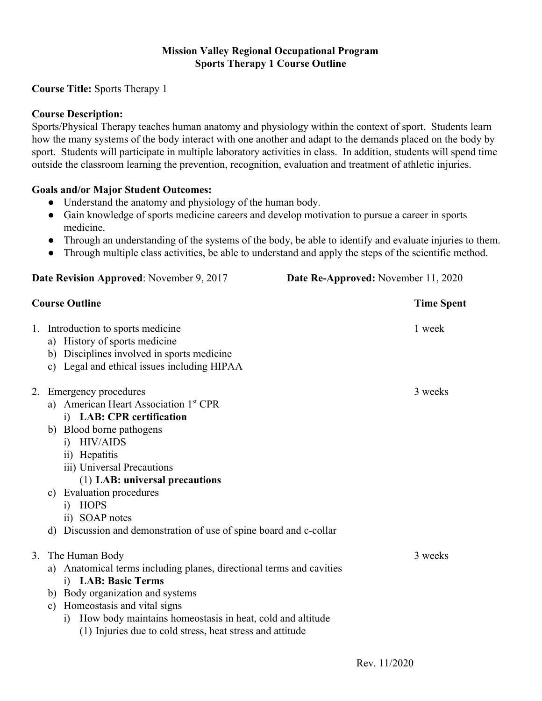#### **Mission Valley Regional Occupational Program Sports Therapy 1 Course Outline**

### **Course Title:** Sports Therapy 1

#### **Course Description:**

Sports/Physical Therapy teaches human anatomy and physiology within the context of sport. Students learn how the many systems of the body interact with one another and adapt to the demands placed on the body by sport. Students will participate in multiple laboratory activities in class. In addition, students will spend time outside the classroom learning the prevention, recognition, evaluation and treatment of athletic injuries.

#### **Goals and/or Major Student Outcomes:**

- Understand the anatomy and physiology of the human body.
- Gain knowledge of sports medicine careers and develop motivation to pursue a career in sports medicine.
- Through an understanding of the systems of the body, be able to identify and evaluate injuries to them.
- Through multiple class activities, be able to understand and apply the steps of the scientific method.

| Date Revision Approved: November 9, 2017<br><b>Course Outline</b> |                                                                                                                                                                                                                                                                                                                                                                                                   | Date Re-Approved: November 11, 2020<br><b>Time Spent</b> |  |
|-------------------------------------------------------------------|---------------------------------------------------------------------------------------------------------------------------------------------------------------------------------------------------------------------------------------------------------------------------------------------------------------------------------------------------------------------------------------------------|----------------------------------------------------------|--|
|                                                                   |                                                                                                                                                                                                                                                                                                                                                                                                   |                                                          |  |
| 2.                                                                | Emergency procedures<br>a) American Heart Association 1 <sup>st</sup> CPR<br>i) LAB: CPR certification<br>b) Blood borne pathogens<br>i) HIV/AIDS<br>ii) Hepatitis<br>iii) Universal Precautions<br>(1) LAB: universal precautions<br><b>Evaluation procedures</b><br>c)<br><b>HOPS</b><br>$\overline{1}$<br>ii) SOAP notes<br>d) Discussion and demonstration of use of spine board and c-collar | 3 weeks                                                  |  |
| 3.                                                                | The Human Body<br>a) Anatomical terms including planes, directional terms and cavities<br>i) LAB: Basic Terms<br>b) Body organization and systems<br>Homeostasis and vital signs<br>$\mathbf{c})$<br>How body maintains homeostasis in heat, cold and altitude<br>$\ddot{1}$<br>(1) Injuries due to cold stress, heat stress and attitude                                                         | 3 weeks                                                  |  |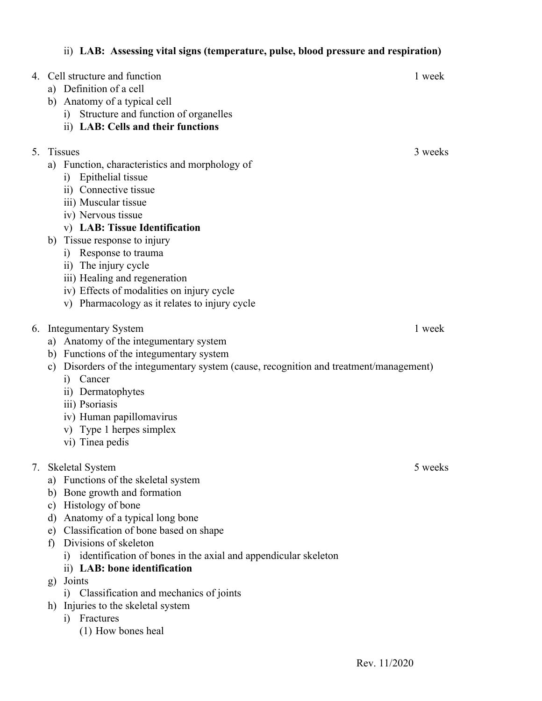|    | 4. Cell structure and function<br>a) Definition of a cell<br>b) Anatomy of a typical cell<br>Structure and function of organelles<br>i)<br>ii) LAB: Cells and their functions                                                                                                                                                                                                                                          | 1 week  |
|----|------------------------------------------------------------------------------------------------------------------------------------------------------------------------------------------------------------------------------------------------------------------------------------------------------------------------------------------------------------------------------------------------------------------------|---------|
| 5. | <b>Tissues</b><br>a) Function, characteristics and morphology of<br>Epithelial tissue<br>i)<br>ii) Connective tissue<br>iii) Muscular tissue<br>iv) Nervous tissue<br>v) LAB: Tissue Identification<br>b) Tissue response to injury<br>Response to trauma<br>1)<br>ii) The injury cycle<br>iii) Healing and regeneration<br>iv) Effects of modalities on injury cycle<br>v) Pharmacology as it relates to injury cycle | 3 weeks |
| 6. | <b>Integumentary System</b><br>a) Anatomy of the integumentary system<br>b) Functions of the integumentary system<br>c) Disorders of the integumentary system (cause, recognition and treatment/management)<br>Cancer<br>i)<br>ii) Dermatophytes<br>iii) Psoriasis<br>iv) Human papillomavirus<br>v) Type 1 herpes simplex<br>vi) Tinea pedis                                                                          | 1 week  |
| 7. | Skeletal System<br>a) Functions of the skeletal system<br>b) Bone growth and formation<br>c) Histology of bone<br>Anatomy of a typical long bone<br>d)<br>e) Classification of bone based on shape<br>Divisions of skeleton<br>f)<br>identification of bones in the axial and appendicular skeleton<br>1)<br>ii) LAB: bone identification<br>Joints<br>g)                                                              | 5 weeks |

ii) **LAB: Assessing vital signs (temperature, pulse, blood pressure and respiration)**

- i) Classification and mechanics of joints
- h) Injuries to the skeletal system
	- i) Fractures
		- (1) How bones heal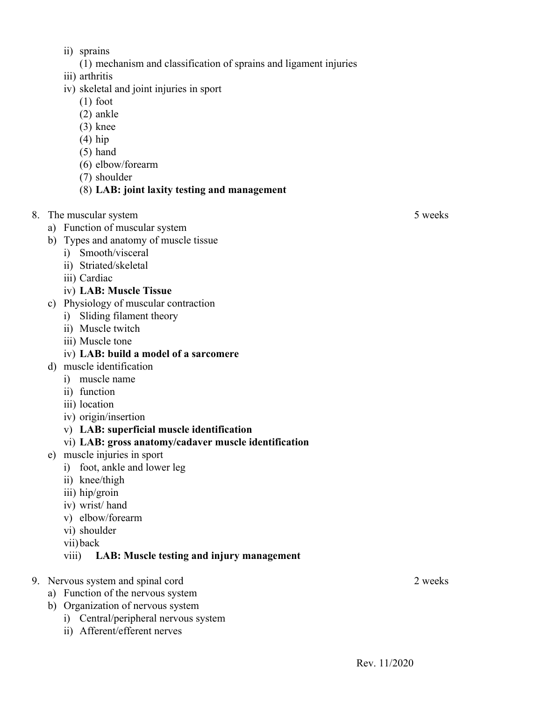- ii) sprains
	- (1) mechanism and classification of sprains and ligament injuries
- iii) arthritis
- iv) skeletal and joint injuries in sport
	- (1) foot
	- (2) ankle
	- (3) knee
	- (4) hip
	- (5) hand
	- (6) elbow/forearm
	- (7) shoulder

#### (8) **LAB: joint laxity testing and management**

- 8. The muscular system 5 weeks
	- a) Function of muscular system
	- b) Types and anatomy of muscle tissue
		- i) Smooth/visceral
		- ii) Striated/skeletal
		- iii) Cardiac
		- iv) **LAB: Muscle Tissue**
	- c) Physiology of muscular contraction
		- i) Sliding filament theory
		- ii) Muscle twitch
		- iii) Muscle tone
		- iv) **LAB: build a model of a sarcomere**
	- d) muscle identification
		- i) muscle name
		- ii) function
		- iii) location
		- iv) origin/insertion
		- v) **LAB: superficial muscle identification**

#### vi) **LAB: gross anatomy/cadaver muscle identification**

- e) muscle injuries in sport
	- i) foot, ankle and lower leg
	- ii) knee/thigh
	- iii) hip/groin
	- iv) wrist/ hand
	- v) elbow/forearm
	- vi) shoulder
	- vii)back

#### viii) **LAB: Muscle testing and injury management**

- 9. Nervous system and spinal cord 2 weeks
	- a) Function of the nervous system
	- b) Organization of nervous system
		- i) Central/peripheral nervous system
		- ii) Afferent/efferent nerves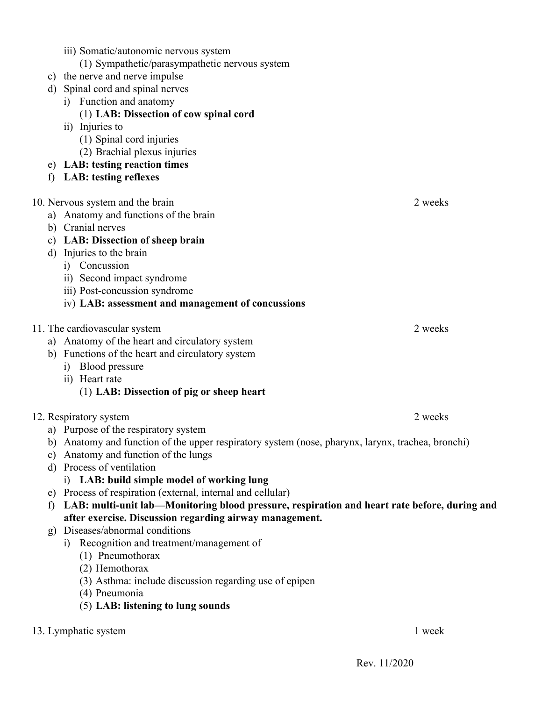| iii) Somatic/autonomic nervous system<br>(1) Sympathetic/parasympathetic nervous system<br>i) Function and anatomy<br>(1) LAB: Dissection of cow spinal cord<br>ii) Injuries to<br>(1) Spinal cord injuries<br>(2) Brachial plexus injuries<br><b>LAB: testing reflexes</b>                                                                                                                                                                                                                                                                                                                                                                                                                                                                                                                             |                                                                                                                                                                                                                                                                                                                                                                                    |  |  |
|---------------------------------------------------------------------------------------------------------------------------------------------------------------------------------------------------------------------------------------------------------------------------------------------------------------------------------------------------------------------------------------------------------------------------------------------------------------------------------------------------------------------------------------------------------------------------------------------------------------------------------------------------------------------------------------------------------------------------------------------------------------------------------------------------------|------------------------------------------------------------------------------------------------------------------------------------------------------------------------------------------------------------------------------------------------------------------------------------------------------------------------------------------------------------------------------------|--|--|
| Injuries to the brain<br>i) Concussion<br>ii) Second impact syndrome<br>iii) Post-concussion syndrome<br>iv) LAB: assessment and management of concussions                                                                                                                                                                                                                                                                                                                                                                                                                                                                                                                                                                                                                                              | 2 weeks                                                                                                                                                                                                                                                                                                                                                                            |  |  |
| i) Blood pressure<br>ii) Heart rate<br>(1) LAB: Dissection of pig or sheep heart                                                                                                                                                                                                                                                                                                                                                                                                                                                                                                                                                                                                                                                                                                                        | 2 weeks                                                                                                                                                                                                                                                                                                                                                                            |  |  |
| 12. Respiratory system<br>2 weeks<br>a) Purpose of the respiratory system<br>Anatomy and function of the upper respiratory system (nose, pharynx, larynx, trachea, bronchi)<br>b)<br>Anatomy and function of the lungs<br>C)<br>Process of ventilation<br>$\rm d)$<br>i) LAB: build simple model of working lung<br>Process of respiration (external, internal and cellular)<br>e)<br>LAB: multi-unit lab—Monitoring blood pressure, respiration and heart rate before, during and<br>$\mathbf{f}$<br>after exercise. Discussion regarding airway management.<br>Diseases/abnormal conditions<br>g)<br>i) Recognition and treatment/management of<br>(1) Pneumothorax<br>(2) Hemothorax<br>(3) Asthma: include discussion regarding use of epipen<br>(4) Pneumonia<br>(5) LAB: listening to lung sounds |                                                                                                                                                                                                                                                                                                                                                                                    |  |  |
|                                                                                                                                                                                                                                                                                                                                                                                                                                                                                                                                                                                                                                                                                                                                                                                                         | c) the nerve and nerve impulse<br>d) Spinal cord and spinal nerves<br>e) LAB: testing reaction times<br>10. Nervous system and the brain<br>a) Anatomy and functions of the brain<br>b) Cranial nerves<br>c) LAB: Dissection of sheep brain<br>11. The cardiovascular system<br>a) Anatomy of the heart and circulatory system<br>b) Functions of the heart and circulatory system |  |  |

13. Lymphatic system 1 week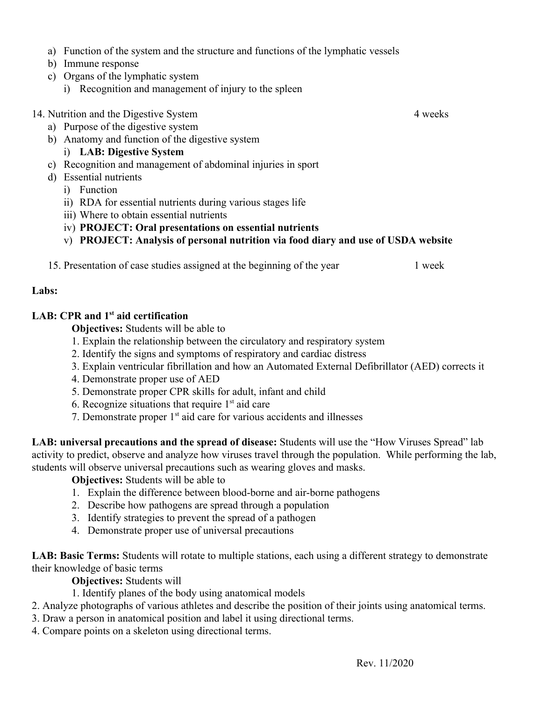- a) Function of the system and the structure and functions of the lymphatic vessels
- b) Immune response
- c) Organs of the lymphatic system
	- i) Recognition and management of injury to the spleen
- 14. Nutrition and the Digestive System 4 weeks
	- a) Purpose of the digestive system
	- b) Anatomy and function of the digestive system
		- i) **LAB: Digestive System**
	- c) Recognition and management of abdominal injuries in sport
	- d) Essential nutrients
		- i) Function
		- ii) RDA for essential nutrients during various stages life
		- iii) Where to obtain essential nutrients
		- iv) **PROJECT: Oral presentations on essential nutrients**
		- v) **PROJECT: Analysis of personal nutrition via food diary and use of USDA website**
	- 15. Presentation of case studies assigned at the beginning of the year 1 week

#### **Labs:**

#### **LAB: CPR and 1st aid certification**

**Objectives:** Students will be able to

- 1. Explain the relationship between the circulatory and respiratory system
- 2. Identify the signs and symptoms of respiratory and cardiac distress
- 3. Explain ventricular fibrillation and how an Automated External Defibrillator (AED) corrects it
- 4. Demonstrate proper use of AED
- 5. Demonstrate proper CPR skills for adult, infant and child
- 6. Recognize situations that require  $1<sup>st</sup>$  aid care
- 7. Demonstrate proper 1<sup>st</sup> aid care for various accidents and illnesses

**LAB: universal precautions and the spread of disease:** Students will use the "How Viruses Spread" lab activity to predict, observe and analyze how viruses travel through the population. While performing the lab, students will observe universal precautions such as wearing gloves and masks.

#### **Objectives:** Students will be able to

- 1. Explain the difference between blood-borne and air-borne pathogens
- 2. Describe how pathogens are spread through a population
- 3. Identify strategies to prevent the spread of a pathogen
- 4. Demonstrate proper use of universal precautions

**LAB: Basic Terms:** Students will rotate to multiple stations, each using a different strategy to demonstrate their knowledge of basic terms

**Objectives:** Students will

- 1. Identify planes of the body using anatomical models
- 2. Analyze photographs of various athletes and describe the position of their joints using anatomical terms.
- 3. Draw a person in anatomical position and label it using directional terms.
- 4. Compare points on a skeleton using directional terms.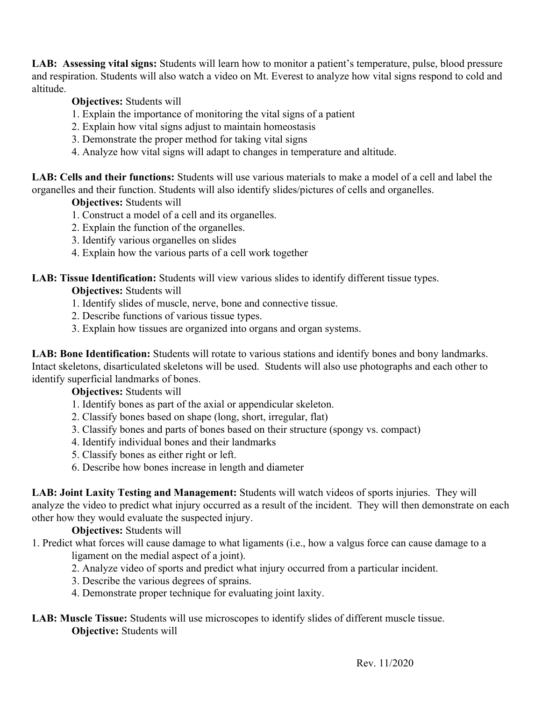**LAB: Assessing vital signs:** Students will learn how to monitor a patient's temperature, pulse, blood pressure and respiration. Students will also watch a video on Mt. Everest to analyze how vital signs respond to cold and altitude.

# **Objectives:** Students will

- 1. Explain the importance of monitoring the vital signs of a patient
- 2. Explain how vital signs adjust to maintain homeostasis
- 3. Demonstrate the proper method for taking vital signs
- 4. Analyze how vital signs will adapt to changes in temperature and altitude.

**LAB: Cells and their functions:** Students will use various materials to make a model of a cell and label the organelles and their function. Students will also identify slides/pictures of cells and organelles.

**Objectives:** Students will

- 1. Construct a model of a cell and its organelles.
- 2. Explain the function of the organelles.
- 3. Identify various organelles on slides
- 4. Explain how the various parts of a cell work together

## **LAB: Tissue Identification:** Students will view various slides to identify different tissue types.

## **Objectives:** Students will

- 1. Identify slides of muscle, nerve, bone and connective tissue.
- 2. Describe functions of various tissue types.
- 3. Explain how tissues are organized into organs and organ systems.

LAB: Bone Identification: Students will rotate to various stations and identify bones and bony landmarks. Intact skeletons, disarticulated skeletons will be used. Students will also use photographs and each other to identify superficial landmarks of bones.

#### **Objectives:** Students will

- 1. Identify bones as part of the axial or appendicular skeleton.
- 2. Classify bones based on shape (long, short, irregular, flat)
- 3. Classify bones and parts of bones based on their structure (spongy vs. compact)
- 4. Identify individual bones and their landmarks
- 5. Classify bones as either right or left.
- 6. Describe how bones increase in length and diameter

**LAB: Joint Laxity Testing and Management:** Students will watch videos of sports injuries. They will analyze the video to predict what injury occurred as a result of the incident. They will then demonstrate on each other how they would evaluate the suspected injury.

# **Objectives:** Students will

1. Predict what forces will cause damage to what ligaments (i.e., how a valgus force can cause damage to a ligament on the medial aspect of a joint).

- 2. Analyze video of sports and predict what injury occurred from a particular incident.
- 3. Describe the various degrees of sprains.
- 4. Demonstrate proper technique for evaluating joint laxity.

## **LAB: Muscle Tissue:** Students will use microscopes to identify slides of different muscle tissue. **Objective:** Students will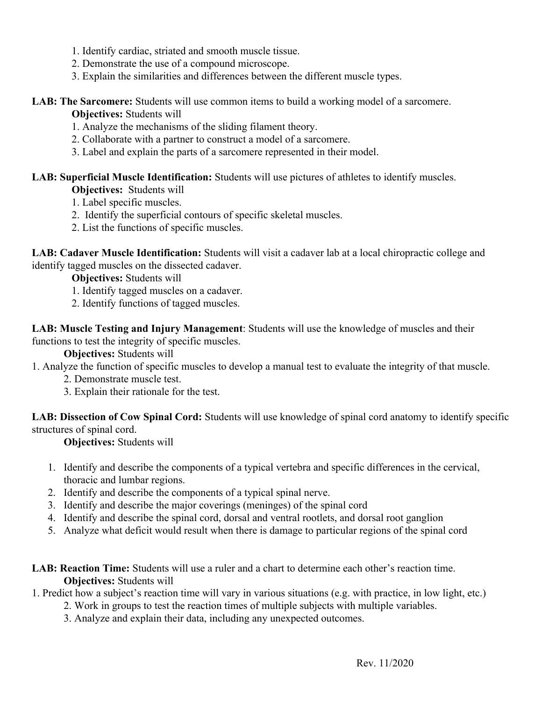- 1. Identify cardiac, striated and smooth muscle tissue.
- 2. Demonstrate the use of a compound microscope.
- 3. Explain the similarities and differences between the different muscle types.

#### LAB: The Sarcomere: Students will use common items to build a working model of a sarcomere.

### **Objectives:** Students will

- 1. Analyze the mechanisms of the sliding filament theory.
- 2. Collaborate with a partner to construct a model of a sarcomere.
- 3. Label and explain the parts of a sarcomere represented in their model.

## **LAB: Superficial Muscle Identification:** Students will use pictures of athletes to identify muscles.

**Objectives:** Students will

- 1. Label specific muscles.
- 2. Identify the superficial contours of specific skeletal muscles.
- 2. List the functions of specific muscles.

**LAB: Cadaver Muscle Identification:** Students will visit a cadaver lab at a local chiropractic college and identify tagged muscles on the dissected cadaver.

**Objectives:** Students will

- 1. Identify tagged muscles on a cadaver.
- 2. Identify functions of tagged muscles.

**LAB: Muscle Testing and Injury Management**: Students will use the knowledge of muscles and their functions to test the integrity of specific muscles.

### **Objectives:** Students will

- 1. Analyze the function of specific muscles to develop a manual test to evaluate the integrity of that muscle.
	- 2. Demonstrate muscle test.
	- 3. Explain their rationale for the test.

**LAB: Dissection of Cow Spinal Cord:** Students will use knowledge of spinal cord anatomy to identify specific structures of spinal cord.

**Objectives:** Students will

- 1. Identify and describe the components of a typical vertebra and specific differences in the cervical, thoracic and lumbar regions.
- 2. Identify and describe the components of a typical spinal nerve.
- 3. Identify and describe the major coverings (meninges) of the spinal cord
- 4. Identify and describe the spinal cord, dorsal and ventral rootlets, and dorsal root ganglion
- 5. Analyze what deficit would result when there is damage to particular regions of the spinal cord

## **LAB: Reaction Time:** Students will use a ruler and a chart to determine each other's reaction time. **Objectives:** Students will

# 1. Predict how a subject's reaction time will vary in various situations (e.g. with practice, in low light, etc.)

- 2. Work in groups to test the reaction times of multiple subjects with multiple variables.
- 3. Analyze and explain their data, including any unexpected outcomes.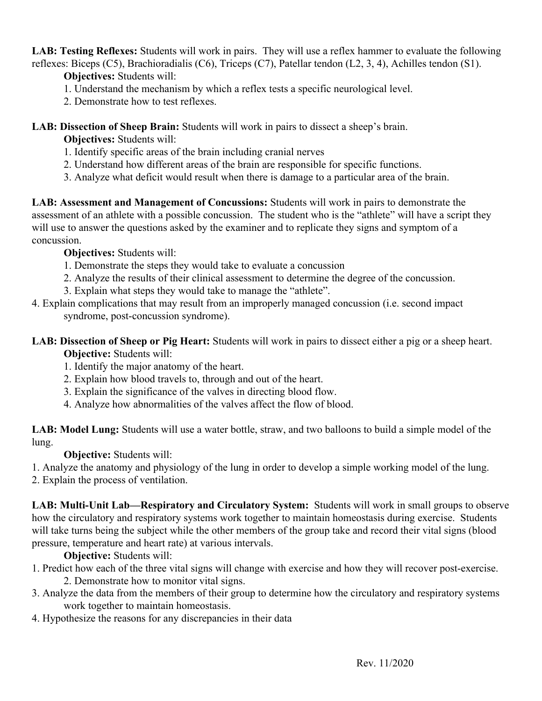**LAB: Testing Reflexes:** Students will work in pairs. They will use a reflex hammer to evaluate the following reflexes: Biceps (C5), Brachioradialis (C6), Triceps (C7), Patellar tendon (L2, 3, 4), Achilles tendon (S1).

**Objectives:** Students will:

- 1. Understand the mechanism by which a reflex tests a specific neurological level.
- 2. Demonstrate how to test reflexes.

**LAB: Dissection of Sheep Brain:** Students will work in pairs to dissect a sheep's brain.

**Objectives:** Students will:

- 1. Identify specific areas of the brain including cranial nerves
- 2. Understand how different areas of the brain are responsible for specific functions.
- 3. Analyze what deficit would result when there is damage to a particular area of the brain.

**LAB: Assessment and Management of Concussions:** Students will work in pairs to demonstrate the assessment of an athlete with a possible concussion. The student who is the "athlete" will have a script they will use to answer the questions asked by the examiner and to replicate they signs and symptom of a concussion.

**Objectives:** Students will:

- 1. Demonstrate the steps they would take to evaluate a concussion
- 2. Analyze the results of their clinical assessment to determine the degree of the concussion.
- 3. Explain what steps they would take to manage the "athlete".
- 4. Explain complications that may result from an improperly managed concussion (i.e. second impact syndrome, post-concussion syndrome).
- **LAB: Dissection of Sheep or Pig Heart:** Students will work in pairs to dissect either a pig or a sheep heart. **Objective:** Students will:
	- 1. Identify the major anatomy of the heart.
	- 2. Explain how blood travels to, through and out of the heart.
	- 3. Explain the significance of the valves in directing blood flow.
	- 4. Analyze how abnormalities of the valves affect the flow of blood.

**LAB: Model Lung:** Students will use a water bottle, straw, and two balloons to build a simple model of the lung.

**Objective:** Students will:

1. Analyze the anatomy and physiology of the lung in order to develop a simple working model of the lung.

2. Explain the process of ventilation.

**LAB: Multi-Unit Lab—Respiratory and Circulatory System:** Students will work in small groups to observe how the circulatory and respiratory systems work together to maintain homeostasis during exercise. Students will take turns being the subject while the other members of the group take and record their vital signs (blood pressure, temperature and heart rate) at various intervals.

**Objective:** Students will:

- 1. Predict how each of the three vital signs will change with exercise and how they will recover post-exercise. 2. Demonstrate how to monitor vital signs.
- 3. Analyze the data from the members of their group to determine how the circulatory and respiratory systems work together to maintain homeostasis.
- 4. Hypothesize the reasons for any discrepancies in their data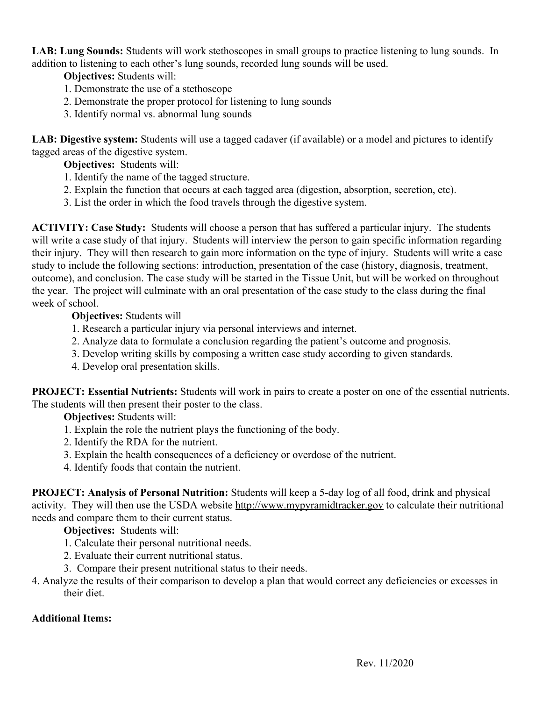**LAB: Lung Sounds:** Students will work stethoscopes in small groups to practice listening to lung sounds. In addition to listening to each other's lung sounds, recorded lung sounds will be used.

**Objectives:** Students will:

- 1. Demonstrate the use of a stethoscope
- 2. Demonstrate the proper protocol for listening to lung sounds
- 3. Identify normal vs. abnormal lung sounds

**LAB: Digestive system:** Students will use a tagged cadaver (if available) or a model and pictures to identify tagged areas of the digestive system.

**Objectives:** Students will:

- 1. Identify the name of the tagged structure.
- 2. Explain the function that occurs at each tagged area (digestion, absorption, secretion, etc).
- 3. List the order in which the food travels through the digestive system.

**ACTIVITY: Case Study:** Students will choose a person that has suffered a particular injury. The students will write a case study of that injury. Students will interview the person to gain specific information regarding their injury. They will then research to gain more information on the type of injury. Students will write a case study to include the following sections: introduction, presentation of the case (history, diagnosis, treatment, outcome), and conclusion. The case study will be started in the Tissue Unit, but will be worked on throughout the year. The project will culminate with an oral presentation of the case study to the class during the final week of school.

**Objectives:** Students will

- 1. Research a particular injury via personal interviews and internet.
- 2. Analyze data to formulate a conclusion regarding the patient's outcome and prognosis.
- 3. Develop writing skills by composing a written case study according to given standards.
- 4. Develop oral presentation skills.

**PROJECT: Essential Nutrients:** Students will work in pairs to create a poster on one of the essential nutrients. The students will then present their poster to the class.

**Objectives:** Students will:

- 1. Explain the role the nutrient plays the functioning of the body.
- 2. Identify the RDA for the nutrient.
- 3. Explain the health consequences of a deficiency or overdose of the nutrient.
- 4. Identify foods that contain the nutrient.

**PROJECT: Analysis of Personal Nutrition:** Students will keep a 5-day log of all food, drink and physical activity. They will then use the USDA website [http://www.mypyramidtracker.gov](http://www.mypyramidtracker.gov/) to calculate their nutritional needs and compare them to their current status.

**Objectives:** Students will:

- 1. Calculate their personal nutritional needs.
- 2. Evaluate their current nutritional status.
- 3. Compare their present nutritional status to their needs.
- 4. Analyze the results of their comparison to develop a plan that would correct any deficiencies or excesses in their diet.

# **Additional Items:**